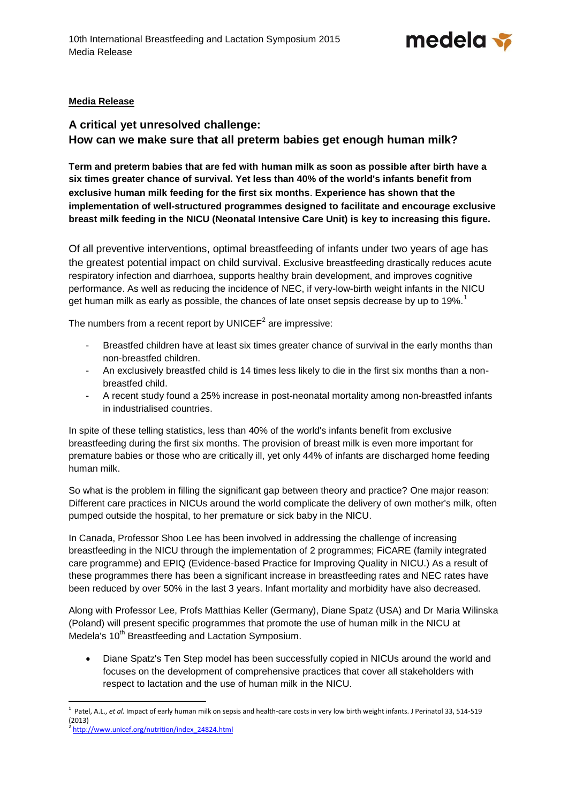

## **Media Release**

## **A critical yet unresolved challenge: How can we make sure that all preterm babies get enough human milk?**

**Term and preterm babies that are fed with human milk as soon as possible after birth have a six times greater chance of survival. Yet less than 40% of the world's infants benefit from exclusive human milk feeding for the first six months**. **Experience has shown that the implementation of well-structured programmes designed to facilitate and encourage exclusive breast milk feeding in the NICU (Neonatal Intensive Care Unit) is key to increasing this figure.** 

Of all preventive interventions, optimal breastfeeding of infants under two years of age has the greatest potential impact on child survival. Exclusive breastfeeding drastically reduces acute respiratory infection and diarrhoea, supports healthy brain development, and improves cognitive performance. As well as reducing the incidence of NEC, if very-low-birth weight infants in the NICU get human milk as early as possible, the chances of late onset sepsis decrease by up to 19%.<sup>1</sup>

The numbers from a recent report by UNICEF<sup>2</sup> are impressive:

- Breastfed children have at least six times greater chance of survival in the early months than non-breastfed children.
- An exclusively breastfed child is 14 times less likely to die in the first six months than a nonbreastfed child.
- A recent study found a 25% increase in post-neonatal mortality among non-breastfed infants in industrialised countries.

In spite of these telling statistics, less than 40% of the world's infants benefit from exclusive breastfeeding during the first six months. The provision of breast milk is even more important for premature babies or those who are critically ill, yet only 44% of infants are discharged home feeding human milk.

So what is the problem in filling the significant gap between theory and practice? One major reason: Different care practices in NICUs around the world complicate the delivery of own mother's milk, often pumped outside the hospital, to her premature or sick baby in the NICU.

In Canada, Professor Shoo Lee has been involved in addressing the challenge of increasing breastfeeding in the NICU through the implementation of 2 programmes; FiCARE (family integrated care programme) and EPIQ (Evidence-based Practice for Improving Quality in NICU.) As a result of these programmes there has been a significant increase in breastfeeding rates and NEC rates have been reduced by over 50% in the last 3 years. Infant mortality and morbidity have also decreased.

Along with Professor Lee, Profs Matthias Keller (Germany), Diane Spatz (USA) and Dr Maria Wilinska (Poland) will present specific programmes that promote the use of human milk in the NICU at Medela's 10<sup>th</sup> Breastfeeding and Lactation Symposium.

• Diane Spatz's Ten Step model has been successfully copied in NICUs around the world and focuses on the development of comprehensive practices that cover all stakeholders with respect to lactation and the use of human milk in the NICU.

1

<sup>&</sup>lt;sup>1</sup> Patel, A.L., *et al.* Impact of early human milk on sepsis and health-care costs in very low birth weight infants. J Perinatol 33, 514-519 (2013)

<sup>&</sup>lt;sup>2</sup> [http://www.unicef.org/nutrition/index\\_24824.html](http://www.unicef.org/nutrition/index_24824.html)